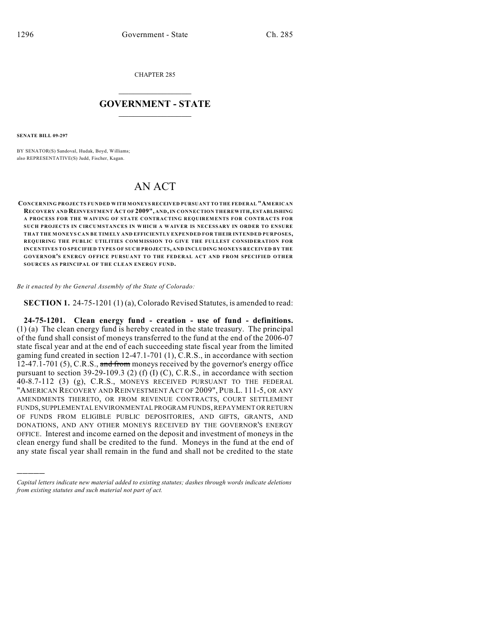CHAPTER 285

## $\mathcal{L}_\text{max}$  . The set of the set of the set of the set of the set of the set of the set of the set of the set of the set of the set of the set of the set of the set of the set of the set of the set of the set of the set **GOVERNMENT - STATE**  $\_$   $\_$   $\_$   $\_$   $\_$   $\_$   $\_$   $\_$   $\_$

**SENATE BILL 09-297**

)))))

BY SENATOR(S) Sandoval, Hudak, Boyd, Williams; also REPRESENTATIVE(S) Judd, Fischer, Kagan.

## AN ACT

**CONCERNING PROJECTS FUNDED WITH MONEYS RECEIVED PURSUANT TO THE FEDERAL "AMERICAN RECOVERY AND REINVESTMENT ACT OF 2009", AND, IN CONNECTION THEREWITH, ESTABLISHING A PROCESS FOR THE WAIVING OF STATE CONTRACTING REQUIREMENTS FOR CONTRACTS FOR SUCH PROJECTS IN CIRCUMSTANCES IN WHICH A WAIVER IS NECESSARY IN ORDER TO ENSURE THAT THE MONEYS CAN BE TIMELY AND EFFICIENTLY EXPENDED FOR THEIR INTENDED PURPOSES, REQUIRING THE PUBLIC UTILITIES COMMISSION TO GIVE THE FULLEST CONSIDERATION FOR INCENTIVES TO SPECIFIED TYPES OF SUCH PROJECTS, AND INCLUDING MONEYS RECEIVED BY THE GOVERNOR'S ENERGY OFFICE PURSUANT TO THE FEDERAL ACT AND FROM SPECIFIED OTHER SOURCES AS PRINCIPAL OF THE CLEAN ENERGY FUND.**

*Be it enacted by the General Assembly of the State of Colorado:*

**SECTION 1.** 24-75-1201 (1)(a), Colorado Revised Statutes, is amended to read:

**24-75-1201. Clean energy fund - creation - use of fund - definitions.** (1) (a) The clean energy fund is hereby created in the state treasury. The principal of the fund shall consist of moneys transferred to the fund at the end of the 2006-07 state fiscal year and at the end of each succeeding state fiscal year from the limited gaming fund created in section 12-47.1-701 (1), C.R.S., in accordance with section 12-47.1-701 (5), C.R.S., and from moneys received by the governor's energy office pursuant to section 39-29-109.3 (2) (f) (I) (C), C.R.S., in accordance with section 40-8.7-112 (3) (g), C.R.S., MONEYS RECEIVED PURSUANT TO THE FEDERAL "AMERICAN RECOVERY AND REINVESTMENT ACT OF 2009", PUB.L. 111-5, OR ANY AMENDMENTS THERETO, OR FROM REVENUE CONTRACTS, COURT SETTLEMENT FUNDS, SUPPLEMENTAL ENVIRONMENTAL PROGRAM FUNDS, REPAYMENT OR RETURN OF FUNDS FROM ELIGIBLE PUBLIC DEPOSITORIES, AND GIFTS, GRANTS, AND DONATIONS, AND ANY OTHER MONEYS RECEIVED BY THE GOVERNOR'S ENERGY OFFICE. Interest and income earned on the deposit and investment of moneys in the clean energy fund shall be credited to the fund. Moneys in the fund at the end of any state fiscal year shall remain in the fund and shall not be credited to the state

*Capital letters indicate new material added to existing statutes; dashes through words indicate deletions from existing statutes and such material not part of act.*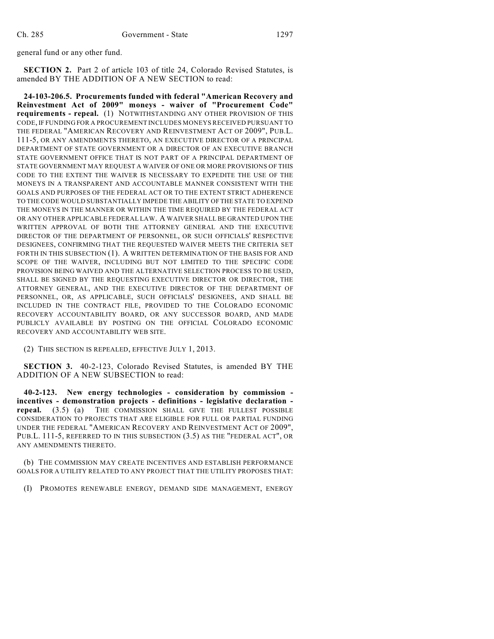general fund or any other fund.

**SECTION 2.** Part 2 of article 103 of title 24, Colorado Revised Statutes, is amended BY THE ADDITION OF A NEW SECTION to read:

**24-103-206.5. Procurements funded with federal "American Recovery and Reinvestment Act of 2009" moneys - waiver of "Procurement Code" requirements - repeal.** (1) NOTWITHSTANDING ANY OTHER PROVISION OF THIS CODE, IF FUNDING FOR A PROCUREMENT INCLUDES MONEYS RECEIVED PURSUANT TO THE FEDERAL "AMERICAN RECOVERY AND REINVESTMENT ACT OF 2009", PUB.L. 111-5, OR ANY AMENDMENTS THERETO, AN EXECUTIVE DIRECTOR OF A PRINCIPAL DEPARTMENT OF STATE GOVERNMENT OR A DIRECTOR OF AN EXECUTIVE BRANCH STATE GOVERNMENT OFFICE THAT IS NOT PART OF A PRINCIPAL DEPARTMENT OF STATE GOVERNMENT MAY REQUEST A WAIVER OF ONE OR MORE PROVISIONS OF THIS CODE TO THE EXTENT THE WAIVER IS NECESSARY TO EXPEDITE THE USE OF THE MONEYS IN A TRANSPARENT AND ACCOUNTABLE MANNER CONSISTENT WITH THE GOALS AND PURPOSES OF THE FEDERAL ACT OR TO THE EXTENT STRICT ADHERENCE TO THE CODE WOULD SUBSTANTIALLY IMPEDE THE ABILITY OF THE STATE TO EXPEND THE MONEYS IN THE MANNER OR WITHIN THE TIME REQUIRED BY THE FEDERAL ACT OR ANY OTHER APPLICABLE FEDERAL LAW. A WAIVER SHALL BE GRANTED UPON THE WRITTEN APPROVAL OF BOTH THE ATTORNEY GENERAL AND THE EXECUTIVE DIRECTOR OF THE DEPARTMENT OF PERSONNEL, OR SUCH OFFICIALS' RESPECTIVE DESIGNEES, CONFIRMING THAT THE REQUESTED WAIVER MEETS THE CRITERIA SET FORTH IN THIS SUBSECTION (1). A WRITTEN DETERMINATION OF THE BASIS FOR AND SCOPE OF THE WAIVER, INCLUDING BUT NOT LIMITED TO THE SPECIFIC CODE PROVISION BEING WAIVED AND THE ALTERNATIVE SELECTION PROCESS TO BE USED, SHALL BE SIGNED BY THE REQUESTING EXECUTIVE DIRECTOR OR DIRECTOR, THE ATTORNEY GENERAL, AND THE EXECUTIVE DIRECTOR OF THE DEPARTMENT OF PERSONNEL, OR, AS APPLICABLE, SUCH OFFICIALS' DESIGNEES, AND SHALL BE INCLUDED IN THE CONTRACT FILE, PROVIDED TO THE COLORADO ECONOMIC RECOVERY ACCOUNTABILITY BOARD, OR ANY SUCCESSOR BOARD, AND MADE PUBLICLY AVAILABLE BY POSTING ON THE OFFICIAL COLORADO ECONOMIC RECOVERY AND ACCOUNTABILITY WEB SITE.

(2) THIS SECTION IS REPEALED, EFFECTIVE JULY 1, 2013.

**SECTION 3.** 40-2-123, Colorado Revised Statutes, is amended BY THE ADDITION OF A NEW SUBSECTION to read:

**40-2-123. New energy technologies - consideration by commission incentives - demonstration projects - definitions - legislative declaration repeal.** (3.5) (a) THE COMMISSION SHALL GIVE THE FULLEST POSSIBLE CONSIDERATION TO PROJECTS THAT ARE ELIGIBLE FOR FULL OR PARTIAL FUNDING UNDER THE FEDERAL "AMERICAN RECOVERY AND REINVESTMENT ACT OF 2009", PUB.L. 111-5, REFERRED TO IN THIS SUBSECTION (3.5) AS THE "FEDERAL ACT", OR ANY AMENDMENTS THERETO.

(b) THE COMMISSION MAY CREATE INCENTIVES AND ESTABLISH PERFORMANCE GOALS FOR A UTILITY RELATED TO ANY PROJECT THAT THE UTILITY PROPOSES THAT:

(I) PROMOTES RENEWABLE ENERGY, DEMAND SIDE MANAGEMENT, ENERGY